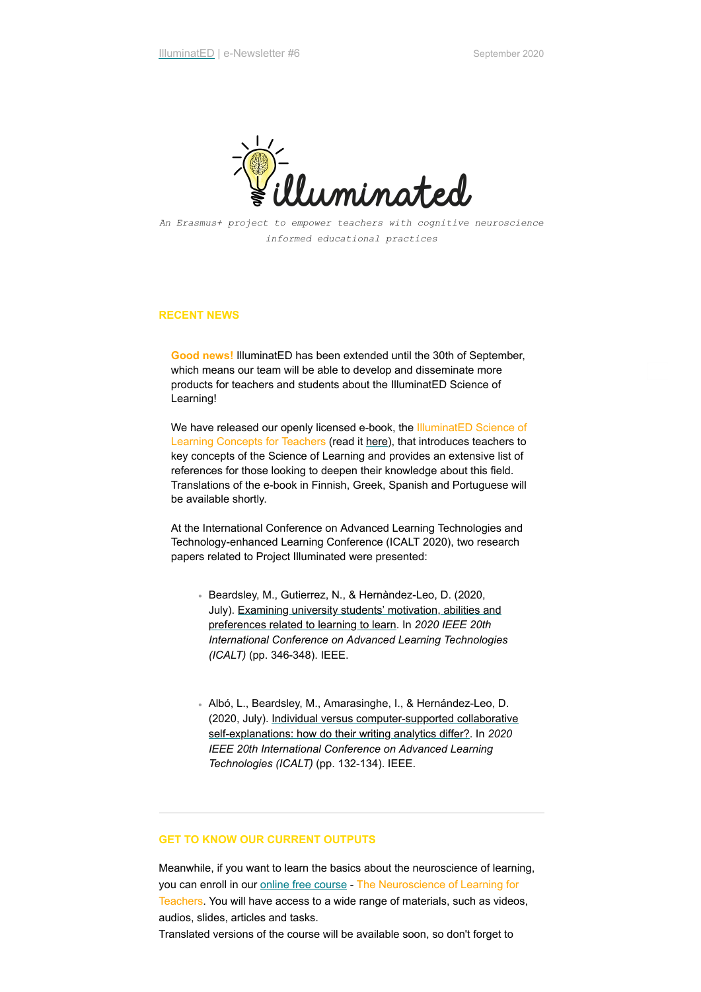

*An Erasmus+ project to empower teachers with cognitive neuroscience informed educational practices*

## **RECENT NEWS**

**Good news!** IlluminatED has been extended until the 30th of September, which means our team will be able to develop and disseminate more products for teachers and students about the IlluminatED Science of Learning!

We have released our openly licensed e-book, the IlluminatED Science of Learning Concepts for Teachers (read it [here\)](https://illuminated.pressbooks.com/), that introduces teachers to key concepts of the Science of Learning and provides an extensive list of references for those looking to deepen their knowledge about this field. Translations of the e-book in Finnish, Greek, Spanish and Portuguese will be available shortly.

At the International Conference on Advanced Learning Technologies and Technology-enhanced Learning Conference (ICALT 2020), two research papers related to Project Illuminated were presented:

- Beardsley, M., Gutierrez, N., & Hernàndez-Leo, D. (2020, [July\). Examining university students' motivation, abilities and](https://ieeexplore.ieee.org/stamp/stamp.jsp?arnumber=9155745&casa_token=1NzmVgvqlbwAAAAA:KKxjNTU0qfUvm_owrCZ7NK5bvu1aRLMPX0JCyEazeB0ZP4UyRD2hIEeb3BMhch3VZRNFP4vC) preferences related to learning to learn. In *2020 IEEE 20th International Conference on Advanced Learning Technologies (ICALT)* (pp. 346-348). IEEE.
- Albó, L., Beardsley, M., Amarasinghe, I., & Hernández-Leo, D. [\(2020, July\). Individual versus computer-supported collaborative](https://ieeexplore.ieee.org/stamp/stamp.jsp?arnumber=9156056&casa_token=a3q0ujRWa74AAAAA:Xshnh69tPS6RSxStHmlEN_cW1l5_Dc93QHdvmh06dmCFbOxGw3SgdLtz9D8SuXs0aPdaBwBq) self-explanations: how do their writing analytics differ?. In *2020 IEEE 20th International Conference on Advanced Learning Technologies (ICALT)* (pp. 132-134). IEEE.

## **GET TO KNOW OUR CURRENT OUTPUTS**

Meanwhile, if you want to learn the basics about the neuroscience of learning, you can enroll in our **online free course** - The Neuroscience of Learning for Teachers. You will have access to a wide range of materials, such as videos, audios, slides, articles and tasks.

Translated versions of the course will be available soon, so don't forget to